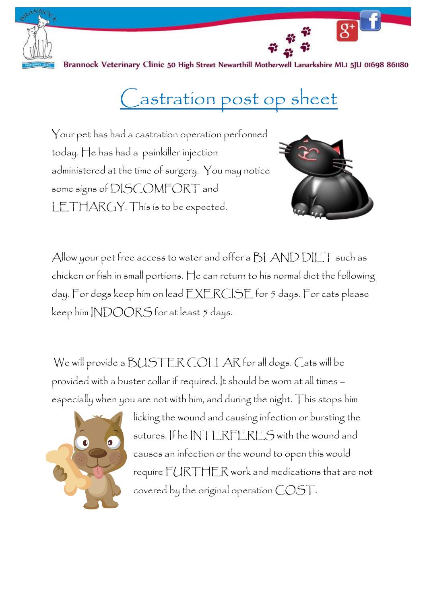

Brannock Veterinary Clinic 50 High Street Newarthill Motherwell Lanarkshire MLI 5JU 01698 861180

## Castration post op sheet

Your pet has had a castration operation performed today. He has had a painkiller injection administered at the time of surgery. You may notice some signs of DISCOMFORT and LETHARGY. This is to be expected.



 $\overline{g^+}$ 

Allow your pet free access to water and offer a BLAND DIET such as chicken or fish in small portions. He can return to his normal diet the following day. For dogs keep him on lead EXERCISE for 5 days. For cats please keep him INDOORS for at least 5 days.

We will provide a BUSTER COLLAR for all dogs. Cats will be provided with a buster collar if required. It should be worn at all times – especially when you are not with him, and during the night. This stops him



licking the wound and causing infection or bursting the sutures. If he INTERFERES with the wound and causes an infection or the wound to open this would require FURTHER work and medications that are not covered by the original operation COST.